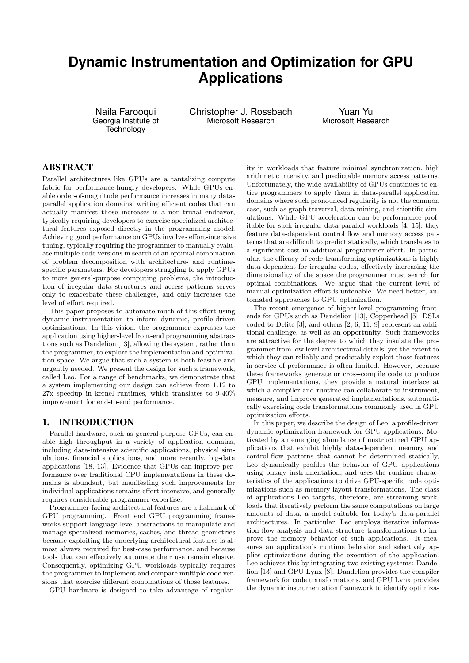# **Dynamic Instrumentation and Optimization for GPU Applications**

Naila Farooqui Georgia Institute of **Technology** 

Christopher J. Rossbach Microsoft Research

Yuan Yu Microsoft Research

## ABSTRACT

Parallel architectures like GPUs are a tantalizing compute fabric for performance-hungry developers. While GPUs enable order-of-magnitude performance increases in many dataparallel application domains, writing efficient codes that can actually manifest those increases is a non-trivial endeavor, typically requiring developers to exercise specialized architectural features exposed directly in the programming model. Achieving good performance on GPUs involves effort-intensive tuning, typically requiring the programmer to manually evaluate multiple code versions in search of an optimal combination of problem decomposition with architecture- and runtimespecific parameters. For developers struggling to apply GPUs to more general-purpose computing problems, the introduction of irregular data structures and access patterns serves only to exacerbate these challenges, and only increases the level of effort required.

This paper proposes to automate much of this effort using dynamic instrumentation to inform dynamic, profile-driven optimizations. In this vision, the programmer expresses the application using higher-level front-end programming abstractions such as Dandelion [13], allowing the system, rather than the programmer, to explore the implementation and optimization space. We argue that such a system is both feasible and urgently needed. We present the design for such a framework, called Leo. For a range of benchmarks, we demonstrate that a system implementing our design can achieve from 1.12 to 27x speedup in kernel runtimes, which translates to 9-40% improvement for end-to-end performance.

# 1. INTRODUCTION

Parallel hardware, such as general-purpose GPUs, can enable high throughput in a variety of application domains, including data-intensive scientific applications, physical simulations, financial applications, and more recently, big-data applications [18, 13]. Evidence that GPUs can improve performance over traditional CPU implementations in these domains is abundant, but manifesting such improvements for individual applications remains effort intensive, and generally requires considerable programmer expertise.

Programmer-facing architectural features are a hallmark of GPU programming. Front end GPU programming frameworks support language-level abstractions to manipulate and manage specialized memories, caches, and thread geometries because exploiting the underlying architectural features is almost always required for best-case performance, and because tools that can effectively automate their use remain elusive. Consequently, optimizing GPU workloads typically requires the programmer to implement and compare multiple code versions that exercise different combinations of those features.

GPU hardware is designed to take advantage of regular-

ity in workloads that feature minimal synchronization, high arithmetic intensity, and predictable memory access patterns. Unfortunately, the wide availability of GPUs continues to entice programmers to apply them in data-parallel application domains where such pronounced regularity is not the common case, such as graph traversal, data mining, and scientific simulations. While GPU acceleration can be performance profitable for such irregular data parallel workloads [4, 15], they feature data-dependent control flow and memory access patterns that are difficult to predict statically, which translates to a significant cost in additional programmer effort. In particular, the efficacy of code-transforming optimizations is highly data dependent for irregular codes, effectively increasing the dimensionality of the space the programmer must search for optimal combinations. We argue that the current level of manual optimization effort is untenable. We need better, automated approaches to GPU optimization.

The recent emergence of higher-level programming frontends for GPUs such as Dandelion [13], Copperhead [5], DSLs coded to Delite [3], and others [2, 6, 11, 9] represent an additional challenge, as well as an opportunity. Such frameworks are attractive for the degree to which they insulate the programmer from low level architectural details, yet the extent to which they can reliably and predictably exploit those features in service of performance is often limited. However, because these frameworks generate or cross-compile code to produce GPU implementations, they provide a natural interface at which a compiler and runtime can collaborate to instrument, measure, and improve generated implementations, automatically exercising code transformations commonly used in GPU optimization efforts.

In this paper, we describe the design of Leo, a profile-driven dynamic optimization framework for GPU applications. Motivated by an emerging abundance of unstructured GPU applications that exhibit highly data-dependent memory and control-flow patterns that cannot be determined statically, Leo dynamically profiles the behavior of GPU applications using binary instrumentation, and uses the runtime characteristics of the applications to drive GPU-specific code optimizations such as memory layout transformations. The class of applications Leo targets, therefore, are streaming workloads that iteratively perform the same computations on large amounts of data, a model suitable for today's data-parallel architectures. In particular, Leo employs iterative information flow analysis and data structure transformations to improve the memory behavior of such applications. It measures an application's runtime behavior and selectively applies optimizations during the execution of the application. Leo achieves this by integrating two existing systems: Dandelion [13] and GPU Lynx [8]. Dandelion provides the compiler framework for code transformations, and GPU Lynx provides the dynamic instrumentation framework to identify optimiza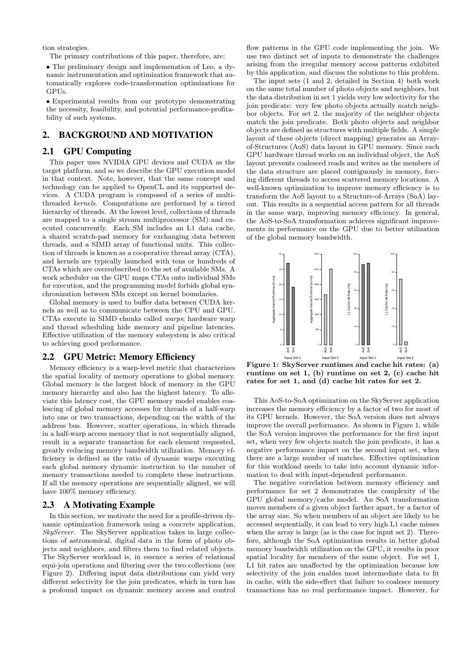tion strategies.

The primary contributions of this paper, therefore, are:

• The preliminary design and implemenation of Leo, a dynamic instrumentation and optimization framework that automatically explores code-transformation optimizations for GPUs.

• Experimental results from our prototype demonstrating the necessity, feasibility, and potential performance-profitability of such systems.

# 2. BACKGROUND AND MOTIVATION

## 2.1 GPU Computing

This paper uses NVIDIA GPU devices and CUDA as the target platform, and so we describe the GPU execution model in that context. Note, however, that the same concept and technology can be applied to OpenCL and its supported devices. A CUDA program is composed of a series of multithreaded kernels. Computations are performed by a tiered hierarchy of threads. At the lowest level, collections of threads are mapped to a single stream multiprocessor (SM) and executed concurrently. Each SM includes an L1 data cache, a shared scratch-pad memory for exchanging data between threads, and a SIMD array of functional units. This collection of threads is known as a cooperative thread array (CTA), and kernels are typically launched with tens or hundreds of CTAs which are oversubscribed to the set of available SMs. A work scheduler on the GPU maps CTAs onto individual SMs for execution, and the programming model forbids global synchronization between SMs except on kernel boundaries.

Global memory is used to buffer data between CUDA kernels as well as to communicate between the CPU and GPU. CTAs execute in SIMD chunks called warps; hardware warp and thread scheduling hide memory and pipeline latencies. Effective utilization of the memory subsystem is also critical to achieving good performance.

## 2.2 GPU Metric: Memory Efficiency

Memory efficiency is a warp-level metric that characterizes the spatial locality of memory operations to global memory. Global memory is the largest block of memory in the GPU memory hierarchy and also has the highest latency. To alleviate this latency cost, the GPU memory model enables coalescing of global memory accesses for threads of a half-warp into one or two transactions, depending on the width of the address bus. However, scatter operations, in which threads in a half-warp access memory that is not sequentially aligned, result in a separate transaction for each element requested, greatly reducing memory bandwidth utilization. Memory efficiency is defined as the ratio of dynamic warps executing each global memory dynamic instruction to the number of memory transactions needed to complete these instructions. If all the memory operations are sequentially aligned, we will have  $100\%$  memory efficiency.

## 2.3 A Motivating Example

In this section, we motivate the need for a profile-driven dynamic optimization framework using a concrete application, SkyServer. The SkyServer application takes in large collections of astronomical, digital data in the form of photo objects and neighbors, and filters them to find related objects. The SkyServer workload is, in essence a series of relational equi-join operations and filtering over the two collections (see Figure 2). Differing input data distributions can yield very different selectivity for the join predicates, which in turn has a profound impact on dynamic memory access and control

flow patterns in the GPU code implementing the join. We use two distinct set of inputs to demonstrate the challenges arising from the irregular memory access patterns exhibited by this application, and discuss the solutions to this problem.

The input sets (1 and 2, detailed in Section 4) both work on the same total number of photo objects and neighbors, but the data distribution in set 1 yields very low selectivity for the join predicate: very few photo objects actually match neighbor objects. For set 2, the majority of the neighbor objects match the join predicate. Both photo objects and neighbor objects are defined as structures with multiple fields. A simple layout of these objects (direct mapping) generates an Arrayof-Structures (AoS) data layout in GPU memory. Since each GPU hardware thread works on an individual object, the AoS layout prevents coalesced reads and writes as the members of the data structure are placed contiguously in memory, forcing different threads to access scattered memory locations. A well-known optimization to improve memory efficiency is to transform the AoS layout to a Structure-of-Arrays (SoA) layout. This results in a sequential access pattern for all threads in the same warp, improving memory efficiency. In general, the AoS-to-SoA transformation achieves significant improvements in performance on the GPU due to better utilization of the global memory bandwidth.



Figure 1: SkyServer runtimes and cache hit rates: (a) runtime on set 1, (b) runtime on set 2, (c) cache hit rates for set 1, and (d) cache hit rates for set 2.

This AoS-to-SoA optimization on the SkyServer application increases the memory efficiency by a factor of two for most of its GPU kernels. However, the SoA version does not always improve the overall performance. As shown in Figure 1, while the SoA version improves the performance for the first input set, when very few objects match the join predicate, it has a negative performance impact on the second input set, when there are a large number of matches. Effective optimization for this workload needs to take into account dynamic information to deal with input-dependent performance.

The negative correlation between memory efficiency and performance for set 2 demonstrates the complexity of the GPU global memory/cache model. An SoA transformation moves members of a given object farther apart, by a factor of the array size. So when members of an object are likely to be accessed sequentially, it can lead to very high L1 cache misses when the array is large (as is the case for input set 2). Therefore, although the SoA optimization results in better global memory bandwidth utilization on the GPU, it results in poor spatial locality for members of the same object. For set 1, L1 hit rates are unaffected by the optimization because low selectivity of the join enables most intermediate data to fit in cache, with the side-effect that failure to coalesce memory transactions has no real performance impact. However, for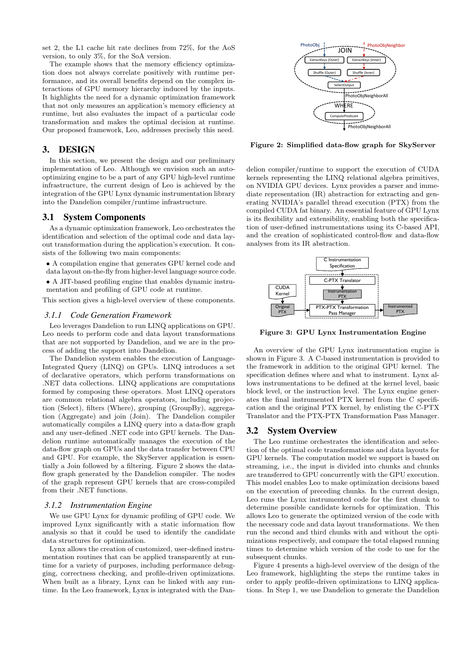set 2, the L1 cache hit rate declines from 72%, for the AoS version, to only 3%, for the SoA version.

The example shows that the memory efficiency optimization does not always correlate positively with runtime performance, and its overall benefits depend on the complex interactions of GPU memory hierarchy induced by the inputs. It highlights the need for a dynamic optimization framework that not only measures an application's memory efficiency at runtime, but also evaluates the impact of a particular code transformation and makes the optimal decision at runtime. Our proposed framework, Leo, addresses precisely this need.

# 3. DESIGN

In this section, we present the design and our preliminary implementation of Leo. Although we envision such an autooptimizing engine to be a part of any GPU high-level runtime infrastructure, the current design of Leo is achieved by the integration of the GPU Lynx dynamic instrumentation library into the Dandelion compiler/runtime infrastructure.

#### 3.1 System Components

As a dynamic optimization framework, Leo orchestrates the identification and selection of the optimal code and data layout transformation during the application's execution. It consists of the following two main components:

- A compilation engine that generates GPU kernel code and
- data layout on-the-fly from higher-level language source code.
- A JIT-based profiling engine that enables dynamic instrumentation and profiling of GPU code at runtime.

This section gives a high-level overview of these components.

### *3.1.1 Code Generation Framework*

Leo leverages Dandelion to run LINQ applications on GPU. Leo needs to perform code and data layout transformations that are not supported by Dandelion, and we are in the process of adding the support into Dandelion.

The Dandelion system enables the execution of Language-Integrated Query (LINQ) on GPUs. LINQ introduces a set of declarative operators, which perform transformations on .NET data collections. LINQ applications are computations formed by composing these operators. Most LINQ operators are common relational algebra operators, including projection (Select), filters (Where), grouping (GroupBy), aggregation (Aggregate) and join (Join). The Dandelion compiler automatically compiles a LINQ query into a data-flow graph and any user-defined .NET code into GPU kernels. The Dandelion runtime automatically manages the execution of the data-flow graph on GPUs and the data transfer between CPU and GPU. For example, the SkyServer application is essentially a Join followed by a filtering. Figure 2 shows the dataflow graph generated by the Dandelion compiler. The nodes of the graph represent GPU kernels that are cross-compiled from their .NET functions.

#### *3.1.2 Instrumentation Engine*

We use GPU Lynx for dynamic profiling of GPU code. We improved Lynx significantly with a static information flow analysis so that it could be used to identify the candidate data structures for optimization.

Lynx allows the creation of customized, user-defined instrumentation routines that can be applied transparently at runtime for a variety of purposes, including performance debugging, correctness checking, and profile-driven optimizations. When built as a library, Lynx can be linked with any runtime. In the Leo framework, Lynx is integrated with the Dan-



Figure 2: Simplified data-flow graph for SkyServer

delion compiler/runtime to support the execution of CUDA kernels representing the LINQ relational algebra primitives, on NVIDIA GPU devices. Lynx provides a parser and immediate representation (IR) abstraction for extracting and generating NVIDIA's parallel thread execution (PTX) from the compiled CUDA fat binary. An essential feature of GPU Lynx is its flexibility and extensibility, enabling both the specification of user-defined instrumentations using its C-based API, and the creation of sophisticated control-flow and data-flow analyses from its IR abstraction.



Figure 3: GPU Lynx Instrumentation Engine

An overview of the GPU Lynx instrumentation engine is shown in Figure 3. A C-based instrumentation is provided to the framework in addition to the original GPU kernel. The specification defines where and what to instrument. Lynx allows instrumentations to be defined at the kernel level, basic block level, or the instruction level. The Lynx engine generates the final instrumented PTX kernel from the C specification and the original PTX kernel, by enlisting the C-PTX Translator and the PTX-PTX Transformation Pass Manager.

#### 3.2 System Overview

The Leo runtime orchestrates the identification and selection of the optimal code transformations and data layouts for GPU kernels. The computation model we support is based on streaming, i.e., the input is divided into chunks and chunks are transferred to GPU concurrently with the GPU execution. This model enables Leo to make optimization decisions based on the execution of preceding chunks. In the current design, Leo runs the Lynx instrumented code for the first chunk to determine possible candidate kernels for optimization. This allows Leo to generate the optimized version of the code with the necessary code and data layout transformations. We then run the second and third chunks with and without the optimizations respectively, and compare the total elapsed running times to determine which version of the code to use for the subsequent chunks.

Figure 4 presents a high-level overview of the design of the Leo framework, highlighting the steps the runtime takes in order to apply profile-driven optimizations to LINQ applications. In Step 1, we use Dandelion to generate the Dandelion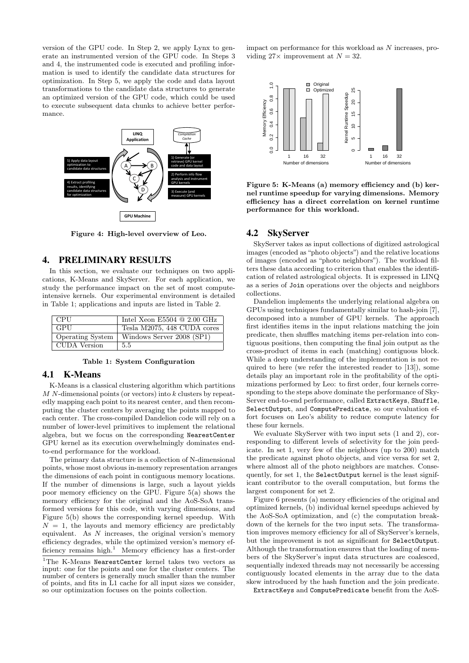version of the GPU code. In Step 2, we apply Lynx to generate an instrumented version of the GPU code. In Steps 3 and 4, the instrumented code is executed and profiling information is used to identify the candidate data structures for optimization. In Step 5, we apply the code and data layout transformations to the candidate data structures to generate an optimized version of the GPU code, which could be used to execute subsequent data chunks to achieve better performance.



Figure 4: High-level overview of Leo.

## 4. PRELIMINARY RESULTS

In this section, we evaluate our techniques on two applications, K-Means and SkyServer. For each application, we study the performance impact on the set of most computeintensive kernels. Our experimental environment is detailed in Table 1; applications and inputs are listed in Table 2.

| CPU          | Intel Xeon E5504 $@$ 2.00 GHz                |
|--------------|----------------------------------------------|
| GPU          | Tesla M2075, 448 CUDA cores                  |
|              | Operating System   Windows Server 2008 (SP1) |
| CUDA Version | 5.5                                          |

Table 1: System Configuration

# 4.1 K-Means

K-Means is a classical clustering algorithm which partitions  $M N$ -dimensional points (or vectors) into  $k$  clusters by repeatedly mapping each point to its nearest center, and then recomputing the cluster centers by averaging the points mapped to each center. The cross-compiled Dandelion code will rely on a number of lower-level primitives to implement the relational algebra, but we focus on the corresponding NearestCenter GPU kernel as its execution overwhelmingly dominates endto-end performance for the workload.

The primary data structure is a collection of N-dimensional points, whose most obvious in-memory representation arranges the dimensions of each point in contiguous memory locations. If the number of dimensions is large, such a layout yields poor memory efficiency on the GPU. Figure 5(a) shows the memory efficiency for the original and the AoS-SoA transformed versions for this code, with varying dimensions, and Figure 5(b) shows the corresponding kernel speedup. With  $N = 1$ , the layouts and memory efficiency are predictably equivalent. As  $N$  increases, the original version's memory efficiency degrades, while the optimized version's memory efficiency remains high.<sup>1</sup> Memory efficiency has a first-order

impact on performance for this workload as N increases, providing  $27\times$  improvement at  $N = 32$ .



Figure 5: K-Means (a) memory efficiency and (b) kernel runtime speedup for varying dimensions. Memory efficiency has a direct correlation on kernel runtime performance for this workload.

## 4.2 SkyServer

SkyServer takes as input collections of digitized astrological images (encoded as "photo objects") and the relative locations of images (encoded as "photo neighbors"). The workload filters these data according to criterion that enables the identification of related astrological objects. It is expressed in LINQ as a series of Join operations over the objects and neighbors collections.

Dandelion implements the underlying relational algebra on GPUs using techniques fundamentally similar to hash-join [7], decomposed into a number of GPU kernels. The approach first identifies items in the input relations matching the join predicate, then shuffles matching items per-relation into contiguous positions, then computing the final join output as the cross-product of items in each (matching) contiguous block. While a deep understanding of the implementation is not required to here (we refer the interested reader to [13]), some details play an important role in the profitability of the optimizations performed by Leo: to first order, four kernels corresponding to the steps above dominate the performance of Sky-Server end-to-end performance, called ExtractKeys, Shuffle, SelectOutput, and ComputePredicate, so our evaluation effort focuses on Leo's ability to reduce compute latency for these four kernels.

We evaluate SkyServer with two input sets (1 and 2), corresponding to different levels of selectivity for the join predicate. In set 1, very few of the neighbors (up to 200) match the predicate against photo objects, and vice versa for set 2, where almost all of the photo neighbors are matches. Consequently, for set 1, the SelectOutput kernel is the least significant contributor to the overall computation, but forms the largest component for set 2.

Figure 6 presents (a) memory efficiencies of the original and optimized kernels, (b) individual kernel speedups achieved by the AoS-SoA optimization, and (c) the computation breakdown of the kernels for the two input sets. The transformation improves memory efficiency for all of SkyServer's kernels, but the improvement is not as significant for SelectOutput. Although the transformation ensures that the loading of members of the SkyServer's input data structures are coalesced, sequentially indexed threads may not necessarily be accessing contiguously located elements in the array due to the data skew introduced by the hash function and the join predicate.

ExtractKeys and ComputePredicate benefit from the AoS-

<sup>1</sup>The K-Means NearestCenter kernel takes two vectors as input: one for the points and one for the cluster centers. The number of centers is generally much smaller than the number of points, and fits in L1 cache for all input sizes we consider, so our optimization focuses on the points collection.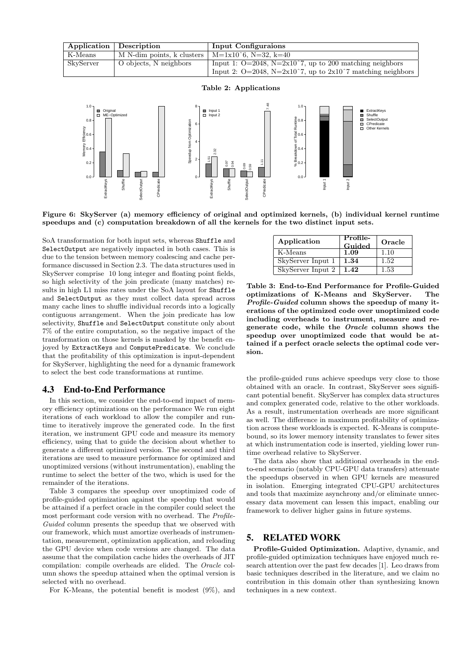|           | Application   Description                            | Input Configuraions                                                |
|-----------|------------------------------------------------------|--------------------------------------------------------------------|
| K-Means   | M N-dim points, k clusters   $M=1x10^6$ , N=32, k=40 |                                                                    |
| SkyServer | O objects, N neighbors                               | Input 1: $Q=2048$ , $N=2x10^7$ , up to 200 matching neighbors      |
|           |                                                      | Input 2: $Q=2048$ , $N=2x10^7$ , up to $2x10^7$ matching neighbors |





Figure 6: SkyServer (a) memory efficiency of original and optimized kernels, (b) individual kernel runtime speedups and (c) computation breakdown of all the kernels for the two distinct input sets.

SoA transformation for both input sets, whereas Shuffle and SelectOutput are negatively impacted in both cases. This is due to the tension between memory coalescing and cache performance discussed in Section 2.3. The data structures used in SkyServer comprise 10 long integer and floating point fields, so high selectivity of the join predicate (many matches) results in high L1 miss rates under the SoA layout for Shuffle and SelectOutput as they must collect data spread across many cache lines to shuffle individual records into a logically contiguous arrangement. When the join predicate has low selectivity, Shuffle and SelectOutput constitute only about 7% of the entire computation, so the negative impact of the transformation on those kernels is masked by the benefit enjoyed by ExtractKeys and ComputePredicate. We conclude that the profitability of this optimization is input-dependent for SkyServer, highlighting the need for a dynamic framework to select the best code transformations at runtime.

## 4.3 End-to-End Performance

In this section, we consider the end-to-end impact of memory efficiency optimizations on the performance We run eight iterations of each workload to allow the compiler and runtime to iteratively improve the generated code. In the first iteration, we instrument GPU code and measure its memory efficiency, using that to guide the decision about whether to generate a different optimized version. The second and third iterations are used to measure performance for optimized and unoptimized versions (without instrumentation), enabling the runtime to select the better of the two, which is used for the remainder of the iterations.

Table 3 compares the speedup over unoptimized code of profile-guided optimization against the speedup that would be attained if a perfect oracle in the compiler could select the most performant code version with no overhead. The Profile-Guided column presents the speedup that we observed with our framework, which must amortize overheads of instrumentation, measurement, optimization application, and reloading the GPU device when code versions are changed. The data assume that the compilation cache hides the overheads of JIT compilation: compile overheads are elided. The Oracle column shows the speedup attained when the optimal version is selected with no overhead.

For K-Means, the potential benefit is modest (9%), and

| Application       | Profile-<br>Guided | Oracle |
|-------------------|--------------------|--------|
| K-Means           | 1.09               | 1.10   |
| SkyServer Input 1 | 1.34               | 1.52   |
| SkyServer Input 2 | 1.42               | 1.53   |

Table 3: End-to-End Performance for Profile-Guided optimizations of K-Means and SkyServer. The Profile-Guided column shows the speedup of many iterations of the optimized code over unoptimized code including overheads to instrument, measure and regenerate code, while the Oracle column shows the speedup over unoptimized code that would be attained if a perfect oracle selects the optimal code version.

the profile-guided runs achieve speedups very close to those obtained with an oracle. In contrast, SkyServer sees significant potential benefit. SkyServer has complex data structures and complex generated code, relative to the other workloads. As a result, instrumentation overheads are more significant as well. The difference in maximum profitability of optimization across these workloads is expected. K-Means is computebound, so its lower memory intensity translates to fewer sites at which instrumentation code is inserted, yielding lower runtime overhead relative to SkyServer.

The data also show that additional overheads in the endto-end scenario (notably CPU-GPU data transfers) attenuate the speedups observed in when GPU kernels are measured in isolation. Emerging integrated CPU-GPU architectures and tools that maximize asynchrony and/or eliminate unnecessary data movement can lessen this impact, enabling our framework to deliver higher gains in future systems.

# 5. RELATED WORK

Profile-Guided Optimization. Adaptive, dynamic, and profile-guided optimization techniques have enjoyed much research attention over the past few decades [1]. Leo draws from basic techniques described in the literature, and we claim no contribution in this domain other than synthesizing known techniques in a new context.